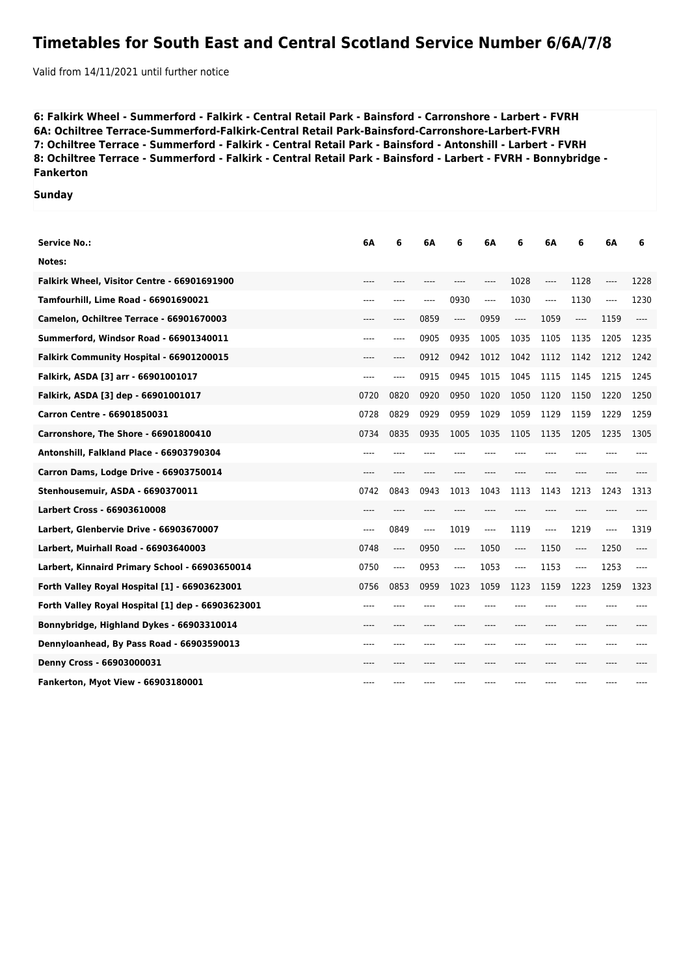## **Timetables for South East and Central Scotland Service Number 6/6A/7/8**

Valid from 14/11/2021 until further notice

**6: Falkirk Wheel - Summerford - Falkirk - Central Retail Park - Bainsford - Carronshore - Larbert - FVRH 6A: Ochiltree Terrace-Summerford-Falkirk-Central Retail Park-Bainsford-Carronshore-Larbert-FVRH 7: Ochiltree Terrace - Summerford - Falkirk - Central Retail Park - Bainsford - Antonshill - Larbert - FVRH 8: Ochiltree Terrace - Summerford - Falkirk - Central Retail Park - Bainsford - Larbert - FVRH - Bonnybridge - Fankerton**

## **Sunday**

| Service No.:                                      | 6A    | 6     | 6Α    | 6         | 6А      | 6        | 6A      | 6     | 6А    | 6    |
|---------------------------------------------------|-------|-------|-------|-----------|---------|----------|---------|-------|-------|------|
| Notes:                                            |       |       |       |           |         |          |         |       |       |      |
| Falkirk Wheel, Visitor Centre - 66901691900       | $---$ | ----  | ----  | ----      | ----    | 1028     | $---$   | 1128  | ----  | 1228 |
| Tamfourhill, Lime Road - 66901690021              | ----  | ----  | ----  | 0930      | ----    | 1030     | $-----$ | 1130  | $---$ | 1230 |
| Camelon, Ochiltree Terrace - 66901670003          | ----  | ----  | 0859  | ----      | 0959    | $\cdots$ | 1059    | ----  | 1159  | ---- |
| Summerford, Windsor Road - 66901340011            | $---$ | ----  | 0905  | 0935      | 1005    | 1035     | 1105    | 1135  | 1205  | 1235 |
| Falkirk Community Hospital - 66901200015          | $---$ | ----  | 0912  | 0942      | 1012    | 1042     | 1112    | 1142  | 1212  | 1242 |
| Falkirk, ASDA [3] arr - 66901001017               | $---$ | ----  | 0915  | 0945      | 1015    | 1045     | 1115    | 1145  | 1215  | 1245 |
| Falkirk, ASDA [3] dep - 66901001017               | 0720  | 0820  | 0920  | 0950      | 1020    | 1050     | 1120    | 1150  | 1220  | 1250 |
| Carron Centre - 66901850031                       | 0728  | 0829  | 0929  | 0959      | 1029    | 1059     | 1129    | 1159  | 1229  | 1259 |
| Carronshore, The Shore - 66901800410              | 0734  | 0835  | 0935  | 1005      | 1035    | 1105     | 1135    | 1205  | 1235  | 1305 |
| Antonshill, Falkland Place - 66903790304          | ----  |       |       |           |         |          |         |       |       |      |
| Carron Dams, Lodge Drive - 66903750014            | $---$ | $---$ | ----  |           |         |          | $---$   | $---$ | ----  |      |
| Stenhousemuir, ASDA - 6690370011                  | 0742  | 0843  | 0943  | 1013      | 1043    | 1113     | 1143    | 1213  | 1243  | 1313 |
| Larbert Cross - 66903610008                       | ----  |       |       |           |         |          |         |       |       |      |
| Larbert, Glenbervie Drive - 66903670007           | ----  | 0849  | $---$ | 1019      | $-----$ | 1119     | ----    | 1219  | ----  | 1319 |
| Larbert, Muirhall Road - 66903640003              | 0748  | ----  | 0950  | ----      | 1050    | $\cdots$ | 1150    | ----  | 1250  | ---- |
| Larbert, Kinnaird Primary School - 66903650014    | 0750  | ----  | 0953  | ----      | 1053    | ----     | 1153    | ----  | 1253  | ---- |
| Forth Valley Royal Hospital [1] - 66903623001     | 0756  | 0853  | 0959  | 1023      | 1059    | 1123     | 1159    | 1223  | 1259  | 1323 |
| Forth Valley Royal Hospital [1] dep - 66903623001 | $---$ | ----  | ----  |           |         | ----     | $---$   | $---$ | ----  |      |
| Bonnybridge, Highland Dykes - 66903310014         | $---$ | $---$ | ----  | $- - - -$ |         | $---$    | $---$   | $---$ | ----  |      |
| Dennyloanhead, By Pass Road - 66903590013         | ----  |       |       |           |         |          | $---$   | $---$ | ----  |      |
| Denny Cross - 66903000031                         | ----  |       |       |           |         |          | ----    | $---$ | ----  |      |
| Fankerton, Myot View - 66903180001                | ----  |       |       |           |         |          |         |       |       |      |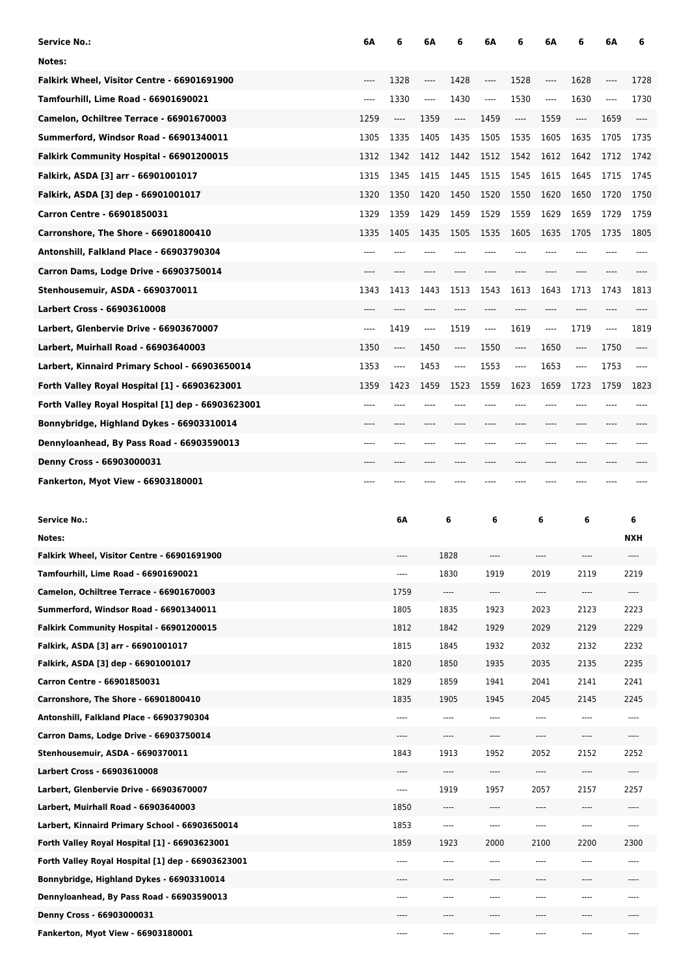| <b>Service No.:</b>                                                                 | 6А    | 6                                                    | 6Α   | 6                             | 6A           | 6                             | 6A               | 6                             | 6Α    | 6               |
|-------------------------------------------------------------------------------------|-------|------------------------------------------------------|------|-------------------------------|--------------|-------------------------------|------------------|-------------------------------|-------|-----------------|
| Notes:                                                                              |       |                                                      |      |                               |              |                               |                  |                               |       |                 |
| Falkirk Wheel, Visitor Centre - 66901691900                                         | ----  | 1328                                                 | ---- | 1428                          | ----         | 1528                          | $\cdots$         | 1628                          | ----  | 1728            |
| Tamfourhill, Lime Road - 66901690021                                                | $---$ | 1330                                                 | ---- | 1430                          | ----         | 1530                          | $---$            | 1630                          | $---$ | 1730            |
| Camelon, Ochiltree Terrace - 66901670003                                            | 1259  | ----                                                 | 1359 | ----                          | 1459         | $\hspace{1.5cm} \textbf{---}$ | 1559             | $\hspace{1.5cm} \textbf{---}$ | 1659  | ----            |
| Summerford, Windsor Road - 66901340011                                              | 1305  | 1335                                                 | 1405 | 1435                          | 1505         | 1535                          | 1605             | 1635                          | 1705  | 1735            |
| Falkirk Community Hospital - 66901200015                                            | 1312  | 1342                                                 | 1412 | 1442                          | 1512         | 1542                          | 1612             | 1642                          | 1712  | 1742            |
| Falkirk, ASDA [3] arr - 66901001017                                                 | 1315  | 1345                                                 | 1415 | 1445                          | 1515         | 1545                          | 1615             | 1645                          | 1715  | 1745            |
| Falkirk, ASDA [3] dep - 66901001017                                                 | 1320  | 1350                                                 | 1420 | 1450                          | 1520         | 1550                          | 1620             | 1650                          | 1720  | 1750            |
| Carron Centre - 66901850031                                                         | 1329  | 1359                                                 | 1429 | 1459                          | 1529         | 1559                          | 1629             | 1659                          | 1729  | 1759            |
| Carronshore, The Shore - 66901800410                                                | 1335  | 1405                                                 | 1435 | 1505                          | 1535         | 1605                          | 1635             | 1705                          | 1735  | 1805            |
| Antonshill, Falkland Place - 66903790304                                            | $---$ | ----                                                 |      |                               |              | ----                          | ----             |                               |       | ----            |
| Carron Dams, Lodge Drive - 66903750014                                              | $---$ | $---$                                                | ---- |                               |              | ----                          | ----             | ----                          | ----  |                 |
| Stenhousemuir, ASDA - 6690370011                                                    | 1343  | 1413                                                 | 1443 | 1513                          | 1543         | 1613                          | 1643             | 1713                          | 1743  | 1813            |
| <b>Larbert Cross - 66903610008</b>                                                  | $---$ | $---$                                                | ---- | $---$                         | ----         | $---$                         | ----             | ----                          | ----  | ----            |
| Larbert, Glenbervie Drive - 66903670007                                             | $---$ | 1419                                                 | ---- | 1519                          | ----         | 1619                          | $---$            | 1719                          | $---$ | 1819            |
| Larbert, Muirhall Road - 66903640003                                                | 1350  | $\hspace{0.05cm}\rule{0.7pt}{0.1ex}\hspace{0.025cm}$ | 1450 | $\hspace{1.5cm} \textbf{---}$ | 1550         | $\hspace{1.5cm} \textbf{---}$ | 1650             | $\hspace{1.5cm} \textbf{---}$ | 1750  | ----            |
| Larbert, Kinnaird Primary School - 66903650014                                      | 1353  | ----                                                 | 1453 | ----                          | 1553         | $\overline{\phantom{a}}$      | 1653             | ----                          | 1753  | $---$           |
| Forth Valley Royal Hospital [1] - 66903623001                                       | 1359  | 1423                                                 | 1459 | 1523                          | 1559         | 1623                          | 1659             | 1723                          | 1759  | 1823            |
| Forth Valley Royal Hospital [1] dep - 66903623001                                   | $---$ | ----                                                 |      |                               |              | ----                          | ----             |                               | ----  |                 |
| Bonnybridge, Highland Dykes - 66903310014                                           | $---$ | ----                                                 | ---- |                               |              | ----                          | ----             | ----                          | ----  |                 |
| Dennyloanhead, By Pass Road - 66903590013                                           | $---$ | $---$                                                | ---- | ----                          | ----         | ----                          | ----             | ----                          | ----  |                 |
| Denny Cross - 66903000031                                                           | $---$ | $---$                                                | ---- | $---$                         | ----         | $---$                         | ----             | ----                          | ----  |                 |
| Fankerton, Myot View - 66903180001                                                  | ----  |                                                      |      |                               |              |                               |                  |                               |       |                 |
|                                                                                     |       |                                                      |      |                               |              |                               |                  |                               |       |                 |
|                                                                                     |       |                                                      |      |                               |              |                               |                  |                               |       |                 |
|                                                                                     |       |                                                      |      |                               |              |                               |                  |                               |       |                 |
| <b>Service No.:</b><br>Notes:                                                       |       | 6Α                                                   |      | 6                             | 6            |                               | 6                | 6                             |       | 6<br><b>NXH</b> |
|                                                                                     |       | ----                                                 |      |                               | ----         |                               | ----             | ----                          |       | ----            |
| Falkirk Wheel, Visitor Centre - 66901691900<br>Tamfourhill, Lime Road - 66901690021 |       | $\cdots$                                             |      | 1828<br>1830                  | 1919         |                               | 2019             | 2119                          |       | 2219            |
| Camelon, Ochiltree Terrace - 66901670003                                            |       | 1759                                                 |      | $\cdots$                      | $\cdots$     |                               | $\cdots$         | $\cdots$                      |       | ----            |
| Summerford, Windsor Road - 66901340011                                              |       | 1805                                                 |      | 1835                          | 1923         |                               | 2023             | 2123                          |       | 2223            |
| Falkirk Community Hospital - 66901200015                                            |       | 1812                                                 |      | 1842                          | 1929         |                               | 2029             | 2129                          |       | 2229            |
| Falkirk, ASDA [3] arr - 66901001017                                                 |       | 1815                                                 |      | 1845                          | 1932         |                               | 2032             | 2132                          |       | 2232            |
| Falkirk, ASDA [3] dep - 66901001017                                                 |       | 1820                                                 |      | 1850                          | 1935         |                               | 2035             | 2135                          |       | 2235            |
| Carron Centre - 66901850031                                                         |       | 1829                                                 |      | 1859                          | 1941         |                               | 2041             | 2141                          |       | 2241            |
| Carronshore, The Shore - 66901800410                                                |       | 1835                                                 |      | 1905                          | 1945         |                               | 2045             | 2145                          |       | 2245            |
| Antonshill, Falkland Place - 66903790304                                            |       | $\cdots$                                             |      | ----                          | ----         |                               | $\cdots$         | ----                          |       | ----            |
| Carron Dams, Lodge Drive - 66903750014                                              |       |                                                      |      | ----                          | ----         |                               | ----             | ----                          |       |                 |
| Stenhousemuir, ASDA - 6690370011                                                    |       | 1843                                                 |      | 1913                          | 1952         |                               | 2052             | 2152                          |       | 2252            |
| Larbert Cross - 66903610008                                                         |       | $- - - -$                                            |      | ----                          | ----         |                               | $\cdots$         | ----                          |       | ----            |
| Larbert, Glenbervie Drive - 66903670007                                             |       | $\cdots$                                             |      | 1919                          | 1957         |                               | 2057             | 2157                          |       | 2257            |
| Larbert, Muirhall Road - 66903640003                                                |       | 1850                                                 |      | $\cdots$                      | ----         |                               | $\cdots$         | $\cdots$                      |       | ----            |
| Larbert, Kinnaird Primary School - 66903650014                                      |       | 1853                                                 |      | ----                          | $\cdots$     |                               | $\cdots$         | ----                          |       | $---$           |
| Forth Valley Royal Hospital [1] - 66903623001                                       |       | 1859                                                 |      | 1923                          | 2000         |                               | 2100             | 2200                          |       | 2300            |
| Forth Valley Royal Hospital [1] dep - 66903623001                                   |       | $\cdots$                                             |      | ----                          | $\cdots$     |                               | $\cdots$         | ----                          |       | ----            |
| Bonnybridge, Highland Dykes - 66903310014                                           |       | $- - - -$<br>----                                    |      | ----<br>----                  | ----<br>---- |                               | $\cdots$<br>---- | ----<br>----                  |       | $-- -$          |
| Dennyloanhead, By Pass Road - 66903590013<br>Denny Cross - 66903000031              |       | ----                                                 |      | ----                          |              |                               |                  |                               |       |                 |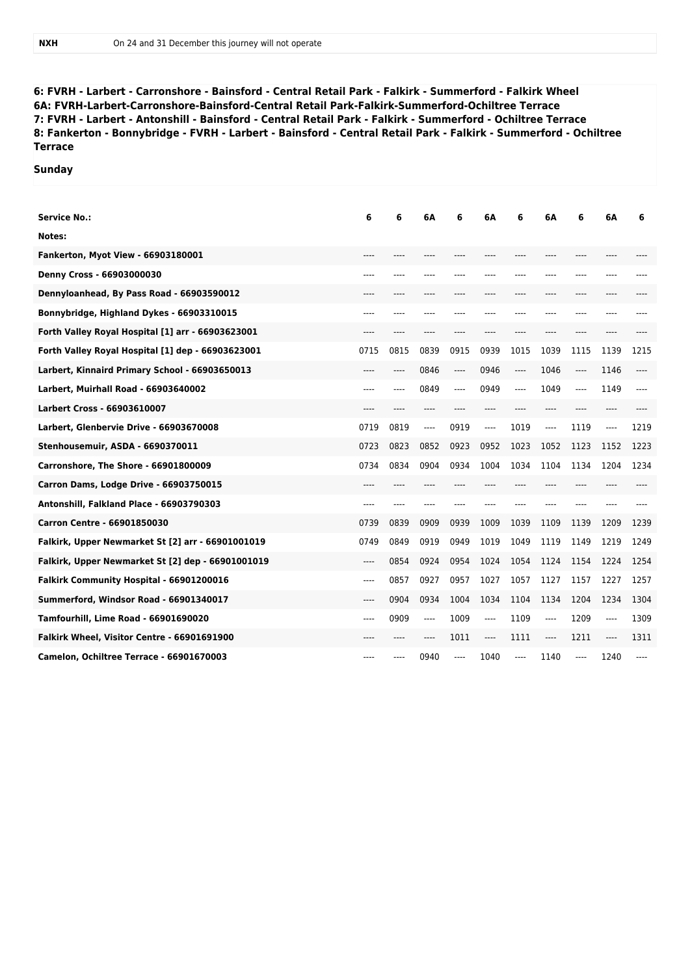**6: FVRH - Larbert - Carronshore - Bainsford - Central Retail Park - Falkirk - Summerford - Falkirk Wheel 6A: FVRH-Larbert-Carronshore-Bainsford-Central Retail Park-Falkirk-Summerford-Ochiltree Terrace 7: FVRH - Larbert - Antonshill - Bainsford - Central Retail Park - Falkirk - Summerford - Ochiltree Terrace 8: Fankerton - Bonnybridge - FVRH - Larbert - Bainsford - Central Retail Park - Falkirk - Summerford - Ochiltree Terrace**

## **Sunday**

| <b>Service No.:</b>                               | 6      | 6    | 6A      | 6    | 6A    | 6       | 6A    | 6       | 6Α    | 6    |
|---------------------------------------------------|--------|------|---------|------|-------|---------|-------|---------|-------|------|
| Notes:                                            |        |      |         |      |       |         |       |         |       |      |
| <b>Fankerton, Myot View - 66903180001</b>         |        |      |         |      |       |         |       |         |       |      |
| Denny Cross - 66903000030                         |        |      |         |      |       |         |       |         |       |      |
| Dennyloanhead, By Pass Road - 66903590012         | $----$ | ---- | ----    | ---- |       | ----    | ----  | ----    | ----  |      |
| Bonnybridge, Highland Dykes - 66903310015         | ----   |      |         |      |       |         | ---   | ----    |       |      |
| Forth Valley Royal Hospital [1] arr - 66903623001 | ----   | ---- | ----    | ---- | ----  | $---$   | $---$ | ----    | ----  |      |
| Forth Valley Royal Hospital [1] dep - 66903623001 | 0715   | 0815 | 0839    | 0915 | 0939  | 1015    | 1039  | 1115    | 1139  | 1215 |
| Larbert, Kinnaird Primary School - 66903650013    | ----   | ---- | 0846    | ---- | 0946  | $-----$ | 1046  | ----    | 1146  |      |
| Larbert, Muirhall Road - 66903640002              | ----   | ---- | 0849    | ---- | 0949  | ----    | 1049  | $-----$ | 1149  | ---- |
| Larbert Cross - 66903610007                       | ----   | ---- | $---$   |      |       | $---$   | $---$ | ----    | ----  |      |
| Larbert, Glenbervie Drive - 66903670008           | 0719   | 0819 | $-----$ | 0919 | $---$ | 1019    | $---$ | 1119    | $---$ | 1219 |
| Stenhousemuir, ASDA - 6690370011                  | 0723   | 0823 | 0852    | 0923 | 0952  | 1023    | 1052  | 1123    | 1152  | 1223 |
| Carronshore, The Shore - 66901800009              | 0734   | 0834 | 0904    | 0934 | 1004  | 1034    | 1104  | 1134    | 1204  | 1234 |
| Carron Dams, Lodge Drive - 66903750015            | ----   |      |         |      |       |         |       |         |       |      |
| Antonshill, Falkland Place - 66903790303          | ----   | ---- | ----    | ---- |       |         | ----  |         | ----  |      |
| Carron Centre - 66901850030                       | 0739   | 0839 | 0909    | 0939 | 1009  | 1039    | 1109  | 1139    | 1209  | 1239 |
| Falkirk, Upper Newmarket St [2] arr - 66901001019 | 0749   | 0849 | 0919    | 0949 | 1019  | 1049    | 1119  | 1149    | 1219  | 1249 |
| Falkirk, Upper Newmarket St [2] dep - 66901001019 | ----   | 0854 | 0924    | 0954 | 1024  | 1054    | 1124  | 1154    | 1224  | 1254 |
| Falkirk Community Hospital - 66901200016          | $---$  | 0857 | 0927    | 0957 | 1027  | 1057    | 1127  | 1157    | 1227  | 1257 |
| Summerford, Windsor Road - 66901340017            | ----   | 0904 | 0934    | 1004 | 1034  | 1104    | 1134  | 1204    | 1234  | 1304 |
| Tamfourhill, Lime Road - 66901690020              | ----   | 0909 | $---$   | 1009 | $---$ | 1109    | $---$ | 1209    | ----  | 1309 |
| Falkirk Wheel, Visitor Centre - 66901691900       | ----   |      | $---$   | 1011 | $---$ | 1111    | $---$ | 1211    | $---$ | 1311 |
| Camelon, Ochiltree Terrace - 66901670003          | ----   |      | 0940    | ---- | 1040  | ----    | 1140  | ----    | 1240  |      |